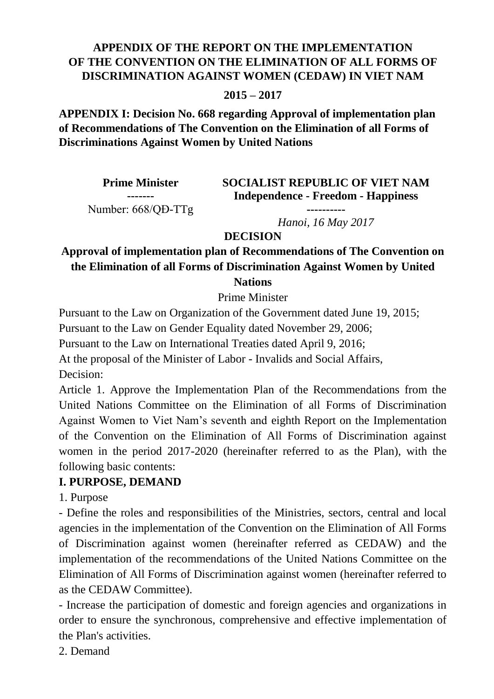### **APPENDIX OF THE REPORT ON THE IMPLEMENTATION OF THE CONVENTION ON THE ELIMINATION OF ALL FORMS OF DISCRIMINATION AGAINST WOMEN (CEDAW) IN VIET NAM**

#### **2015 – 2017**

**APPENDIX I: Decision No. 668 regarding Approval of implementation plan of Recommendations of The Convention on the Elimination of all Forms of Discriminations Against Women by United Nations**

| <b>Prime Minister</b> |
|-----------------------|
|                       |
| Number: 668/QD-TTg    |

**SOCIALIST REPUBLIC OF VIET NAM Independence - Freedom - Happiness**

> **----------** *Hanoi, 16 May 2017*

**DECISION**

# **Approval of implementation plan of Recommendations of The Convention on the Elimination of all Forms of Discrimination Against Women by United**

**Nations**

Prime Minister

Pursuant to the Law on Organization of the Government dated June 19, 2015;

Pursuant to the Law on Gender Equality dated November 29, 2006;

Pursuant to the Law on International Treaties dated April 9, 2016;

At the proposal of the Minister of Labor - Invalids and Social Affairs,

Decision:

Article 1. Approve the Implementation Plan of the Recommendations from the United Nations Committee on the Elimination of all Forms of Discrimination Against Women to Viet Nam's seventh and eighth Report on the Implementation of the Convention on the Elimination of All Forms of Discrimination against women in the period 2017-2020 (hereinafter referred to as the Plan), with the following basic contents:

### **I. PURPOSE, DEMAND**

1. Purpose

- Define the roles and responsibilities of the Ministries, sectors, central and local agencies in the implementation of the Convention on the Elimination of All Forms of Discrimination against women (hereinafter referred as CEDAW) and the implementation of the recommendations of the United Nations Committee on the Elimination of All Forms of Discrimination against women (hereinafter referred to as the CEDAW Committee).

- Increase the participation of domestic and foreign agencies and organizations in order to ensure the synchronous, comprehensive and effective implementation of the Plan's activities.

2. Demand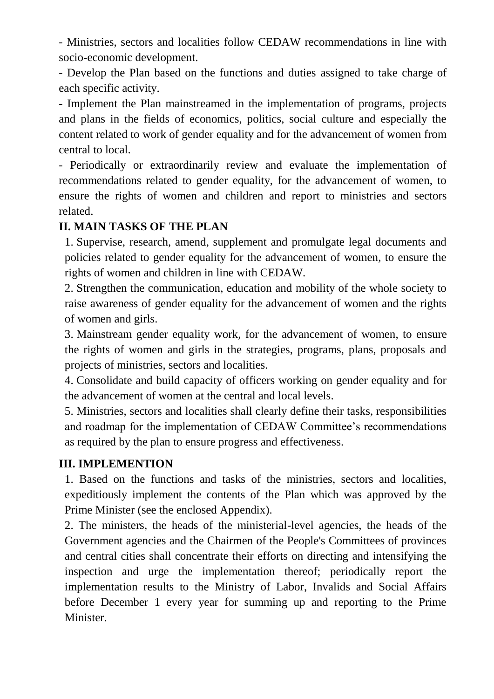- Ministries, sectors and localities follow CEDAW recommendations in line with socio-economic development.

- Develop the Plan based on the functions and duties assigned to take charge of each specific activity.

- Implement the Plan mainstreamed in the implementation of programs, projects and plans in the fields of economics, politics, social culture and especially the content related to work of gender equality and for the advancement of women from central to local.

- Periodically or extraordinarily review and evaluate the implementation of recommendations related to gender equality, for the advancement of women, to ensure the rights of women and children and report to ministries and sectors related.

### **II. MAIN TASKS OF THE PLAN**

1. Supervise, research, amend, supplement and promulgate legal documents and policies related to gender equality for the advancement of women, to ensure the rights of women and children in line with CEDAW.

2. Strengthen the communication, education and mobility of the whole society to raise awareness of gender equality for the advancement of women and the rights of women and girls.

3. Mainstream gender equality work, for the advancement of women, to ensure the rights of women and girls in the strategies, programs, plans, proposals and projects of ministries, sectors and localities.

4. Consolidate and build capacity of officers working on gender equality and for the advancement of women at the central and local levels.

5. Ministries, sectors and localities shall clearly define their tasks, responsibilities and roadmap for the implementation of CEDAW Committee's recommendations as required by the plan to ensure progress and effectiveness.

#### **III. IMPLEMENTION**

1. Based on the functions and tasks of the ministries, sectors and localities, expeditiously implement the contents of the Plan which was approved by the Prime Minister (see the enclosed Appendix).

2. The ministers, the heads of the ministerial-level agencies, the heads of the Government agencies and the Chairmen of the People's Committees of provinces and central cities shall concentrate their efforts on directing and intensifying the inspection and urge the implementation thereof; periodically report the implementation results to the Ministry of Labor, Invalids and Social Affairs before December 1 every year for summing up and reporting to the Prime Minister.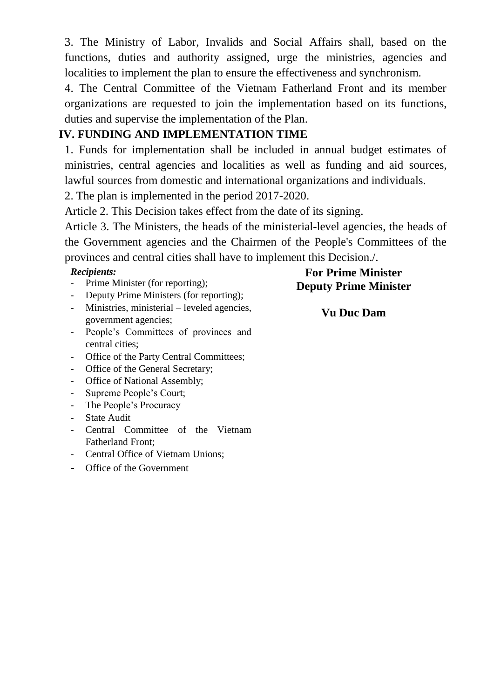3. The Ministry of Labor, Invalids and Social Affairs shall, based on the functions, duties and authority assigned, urge the ministries, agencies and localities to implement the plan to ensure the effectiveness and synchronism.

4. The Central Committee of the Vietnam Fatherland Front and its member organizations are requested to join the implementation based on its functions, duties and supervise the implementation of the Plan.

### **IV. FUNDING AND IMPLEMENTATION TIME**

1. Funds for implementation shall be included in annual budget estimates of ministries, central agencies and localities as well as funding and aid sources, lawful sources from domestic and international organizations and individuals.

2. The plan is implemented in the period 2017-2020.

Article 2. This Decision takes effect from the date of its signing.

Article 3. The Ministers, the heads of the ministerial-level agencies, the heads of the Government agencies and the Chairmen of the People's Committees of the provinces and central cities shall have to implement this Decision./.

#### *Recipients:*

- Prime Minister (for reporting);
- Deputy Prime Ministers (for reporting);
- Ministries, ministerial leveled agencies, government agencies;
- People's Committees of provinces and central cities;
- Office of the Party Central Committees;
- Office of the General Secretary;
- Office of National Assembly;
- Supreme People's Court;
- The People's Procuracy
- **State Audit**
- Central Committee of the Vietnam Fatherland Front;
- Central Office of Vietnam Unions;
- Office of the Government

# **For Prime Minister Deputy Prime Minister**

### **Vu Duc Dam**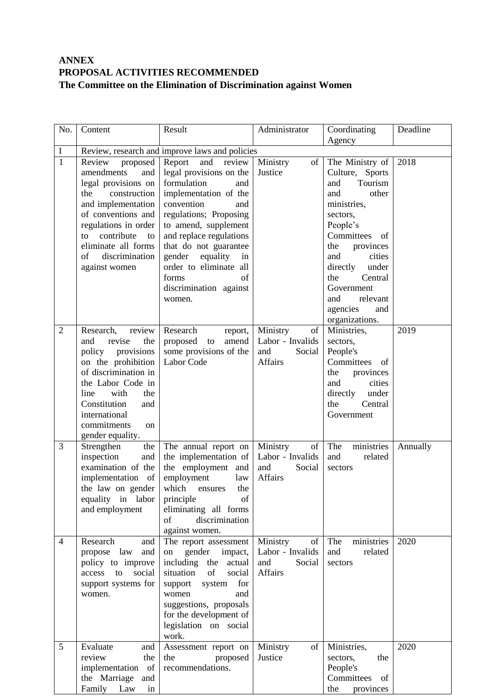#### **ANNEX PROPOSAL ACTIVITIES RECOMMENDED The Committee on the Elimination of Discrimination against Women**

| No.            | Content                                                                                                                                                                                                                                             | Result                                                                                                                                                                                                                                                                                                                                | Administrator                                                         | Coordinating                                                                                                                                                                                                                                                                      | Deadline |
|----------------|-----------------------------------------------------------------------------------------------------------------------------------------------------------------------------------------------------------------------------------------------------|---------------------------------------------------------------------------------------------------------------------------------------------------------------------------------------------------------------------------------------------------------------------------------------------------------------------------------------|-----------------------------------------------------------------------|-----------------------------------------------------------------------------------------------------------------------------------------------------------------------------------------------------------------------------------------------------------------------------------|----------|
|                |                                                                                                                                                                                                                                                     |                                                                                                                                                                                                                                                                                                                                       |                                                                       | Agency                                                                                                                                                                                                                                                                            |          |
| I              | Review, research and improve laws and policies                                                                                                                                                                                                      |                                                                                                                                                                                                                                                                                                                                       |                                                                       |                                                                                                                                                                                                                                                                                   |          |
| $\overline{1}$ | Review<br>proposed<br>amendments<br>and<br>legal provisions on<br>construction<br>the<br>and implementation<br>of conventions and<br>regulations in order<br>contribute<br>to<br>to<br>eliminate all forms<br>discrimination<br>οf<br>against women | Report<br>and<br>review<br>legal provisions on the<br>formulation<br>and<br>implementation of the<br>convention<br>and<br>regulations; Proposing<br>to amend, supplement<br>and replace regulations<br>that do not guarantee<br>gender<br>equality<br>in<br>order to eliminate all<br>forms<br>of<br>discrimination against<br>women. | Ministry<br>of<br>Justice                                             | The Ministry of<br>Culture, Sports<br>Tourism<br>and<br>other<br>and<br>ministries,<br>sectors,<br>People's<br>Committees<br>of<br>the<br>provinces<br>and<br>cities<br>directly<br>under<br>the<br>Central<br>Government<br>relevant<br>and<br>agencies<br>and<br>organizations. | 2018     |
| $\overline{2}$ | Research,<br>review<br>the<br>and<br>revise<br>policy provisions<br>on the prohibition<br>of discrimination in<br>the Labor Code in<br>with<br>line<br>the<br>Constitution<br>and<br>international<br>commitments<br>on<br>gender equality.         | Research<br>report,<br>proposed<br>amend<br>to<br>some provisions of the<br>Labor Code                                                                                                                                                                                                                                                | Ministry<br>of<br>Labor - Invalids<br>Social<br>and<br><b>Affairs</b> | Ministries,<br>sectors,<br>People's<br>Committees<br>of<br>the<br>provinces<br>and<br>cities<br>directly<br>under<br>the<br>Central<br>Government                                                                                                                                 | 2019     |
| 3              | Strengthen<br>the<br>inspection<br>and<br>examination of the<br>implementation of<br>the law on gender<br>equality in labor<br>and employment                                                                                                       | The annual report on<br>the implementation of<br>the employment and<br>employment<br>law<br>which<br>the<br>ensures<br>principle<br>of<br>eliminating all forms<br>of<br>discrimination<br>against women.                                                                                                                             | Ministry<br>of<br>Labor - Invalids<br>and<br>Social<br>Affairs        | The<br>ministries<br>related<br>and<br>sectors                                                                                                                                                                                                                                    | Annually |
| 4              | Research<br>and<br>propose law<br>and<br>policy to improve<br>to<br>social<br>access<br>support systems for<br>women.                                                                                                                               | The report assessment<br>gender<br>on<br>impact,<br>including the actual<br>situation<br>of<br>social<br>for<br>support<br>system<br>women<br>and<br>suggestions, proposals<br>for the development of<br>legislation on social<br>work.                                                                                               | Ministry<br>of<br>Labor - Invalids<br>and<br>Social<br>Affairs        | The<br>ministries<br>related<br>and<br>sectors                                                                                                                                                                                                                                    | 2020     |
| 5              | Evaluate<br>and<br>review<br>the<br>implementation of<br>the Marriage and<br>Family Law<br>in                                                                                                                                                       | Assessment report on<br>the<br>proposed<br>recommendations.                                                                                                                                                                                                                                                                           | Ministry<br>of<br>Justice                                             | Ministries,<br>sectors,<br>the<br>People's<br>Committees<br>of<br>the<br>provinces                                                                                                                                                                                                | 2020     |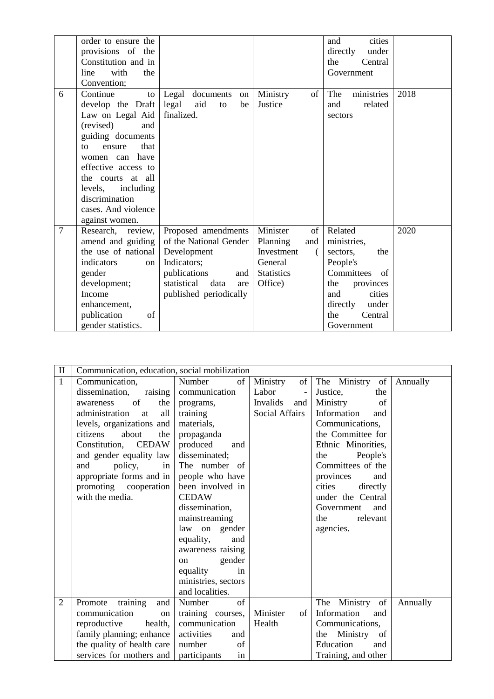|                | order to ensure the  |                            |                   | cities<br>and     |      |
|----------------|----------------------|----------------------------|-------------------|-------------------|------|
|                | provisions of the    |                            |                   | directly<br>under |      |
|                | Constitution and in  |                            |                   | the<br>Central    |      |
|                | with<br>the<br>line  |                            |                   | Government        |      |
|                | Convention;          |                            |                   |                   |      |
| 6              | Continue<br>to       | Legal documents<br>on      | Ministry<br>of    | ministries<br>The | 2018 |
|                | develop the Draft    | legal<br>aid<br>to<br>be   | Justice           | related<br>and    |      |
|                | Law on Legal Aid     | finalized.                 |                   | sectors           |      |
|                | (revised)<br>and     |                            |                   |                   |      |
|                | guiding documents    |                            |                   |                   |      |
|                | that<br>ensure<br>to |                            |                   |                   |      |
|                | women can have       |                            |                   |                   |      |
|                | effective access to  |                            |                   |                   |      |
|                | at all<br>the courts |                            |                   |                   |      |
|                | levels, including    |                            |                   |                   |      |
|                | discrimination       |                            |                   |                   |      |
|                | cases. And violence  |                            |                   |                   |      |
|                | against women.       |                            |                   |                   |      |
| $\overline{7}$ | Research,<br>review, | Proposed amendments        | Minister<br>of    | Related           | 2020 |
|                | amend and guiding    | of the National Gender     | Planning<br>and   | ministries,       |      |
|                | the use of national  | Development                | Investment        | sectors,<br>the   |      |
|                | indicators<br>on     | Indicators;                | General           | People's          |      |
|                | gender               | publications<br>and        | <b>Statistics</b> | Committees<br>of  |      |
|                | development;         | statistical<br>data<br>are | Office)           | the<br>provinces  |      |
|                | Income               | published periodically     |                   | cities<br>and     |      |
|                | enhancement,         |                            |                   | directly<br>under |      |
|                | publication<br>of    |                            |                   | the<br>Central    |      |
|                | gender statistics.   |                            |                   | Government        |      |

| $\mathbf{I}$   | Communication, education, social mobilization |                           |                        |                     |          |
|----------------|-----------------------------------------------|---------------------------|------------------------|---------------------|----------|
| $\mathbf{1}$   | Communication,                                | Number<br>of <sub>1</sub> | of<br>Ministry         | The Ministry of     | Annually |
|                | dissemination,<br>raising                     | communication             | Labor<br>$\frac{1}{2}$ | Justice,<br>the     |          |
|                | of<br>the<br>awareness                        | programs,                 | Invalids<br>and        | Ministry<br>of      |          |
|                | administration<br>all<br>at                   | training                  | <b>Social Affairs</b>  | Information<br>and  |          |
|                | levels, organizations and                     | materials,                |                        | Communications,     |          |
|                | about<br>citizens<br>the                      | propaganda                |                        | the Committee for   |          |
|                | Constitution,<br><b>CEDAW</b>                 | produced<br>and           |                        | Ethnic Minorities,  |          |
|                | and gender equality law                       | disseminated;             |                        | People's<br>the     |          |
|                | and<br>policy,<br>in                          | The number of             |                        | Committees of the   |          |
|                | appropriate forms and in                      | people who have           |                        | provinces<br>and    |          |
|                | promoting cooperation                         | been involved in          |                        | cities<br>directly  |          |
|                | with the media.                               | <b>CEDAW</b>              |                        | under the Central   |          |
|                |                                               | dissemination,            |                        | Government<br>and   |          |
|                |                                               | mainstreaming             |                        | relevant<br>the     |          |
|                |                                               | law on gender             |                        | agencies.           |          |
|                |                                               | equality,<br>and          |                        |                     |          |
|                |                                               | awareness raising         |                        |                     |          |
|                |                                               | gender<br>on              |                        |                     |          |
|                |                                               | equality<br>in            |                        |                     |          |
|                |                                               | ministries, sectors       |                        |                     |          |
|                |                                               | and localities.           |                        |                     |          |
| $\overline{2}$ | training<br>Promote<br>and                    | of<br>Number              |                        | Ministry of<br>The  | Annually |
|                | communication<br>on                           | training courses,         | Minister<br>of         | Information<br>and  |          |
|                | reproductive<br>health,                       | communication             | Health                 | Communications,     |          |
|                | family planning; enhance                      | activities<br>and         |                        | the Ministry of     |          |
|                | the quality of health care                    | number<br>of              |                        | Education<br>and    |          |
|                | services for mothers and                      | participants<br>in        |                        | Training, and other |          |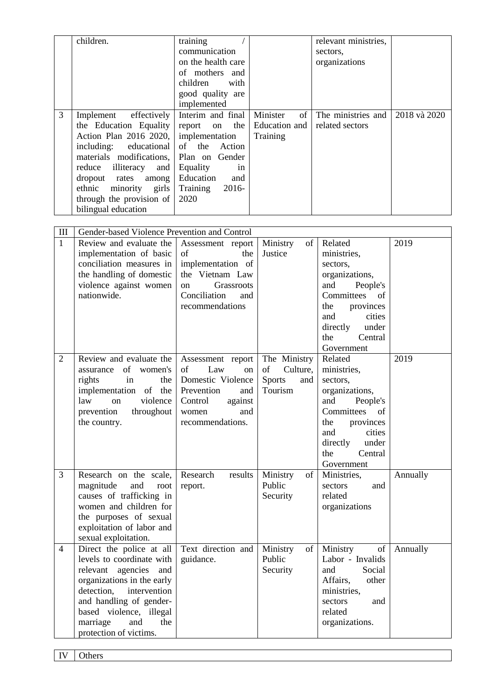| 3                              | children.<br>effectively<br>Implement<br>the Education Equality<br>Action Plan 2016 2020,<br>including:<br>educational<br>materials modifications,<br>reduce illiteracy<br>and<br>dropout rates<br>among<br>ethnic<br>minority<br>girls<br>through the provision of<br>bilingual education | training<br>communication<br>on the health care<br>of mothers and<br>children<br>with<br>good quality are<br>implemented<br>Interim and final<br>the<br>report<br>on<br>implementation<br>of<br>the<br>Action<br>Plan on Gender<br>Equality<br>in<br>Education<br>and<br>2016-<br>Training<br>2020 | Minister<br>of<br>Education and<br>Training       | relevant ministries,<br>sectors,<br>organizations<br>The ministries and<br>related sectors                                                                                                         | 2018 và 2020 |
|--------------------------------|--------------------------------------------------------------------------------------------------------------------------------------------------------------------------------------------------------------------------------------------------------------------------------------------|----------------------------------------------------------------------------------------------------------------------------------------------------------------------------------------------------------------------------------------------------------------------------------------------------|---------------------------------------------------|----------------------------------------------------------------------------------------------------------------------------------------------------------------------------------------------------|--------------|
| III                            | Gender-based Violence Prevention and Control                                                                                                                                                                                                                                               |                                                                                                                                                                                                                                                                                                    |                                                   |                                                                                                                                                                                                    |              |
| $\mathbf{1}$<br>$\overline{2}$ | Review and evaluate the<br>implementation of basic<br>conciliation measures in<br>the handling of domestic<br>violence against women<br>nationwide.<br>Review and evaluate the                                                                                                             | Assessment report<br>of<br>the<br>implementation of<br>the Vietnam Law<br>Grassroots<br>on<br>Conciliation<br>and<br>recommendations<br>Assessment report                                                                                                                                          | Ministry<br>of<br>Justice<br>The Ministry         | Related<br>ministries,<br>sectors,<br>organizations,<br>People's<br>and<br>Committees<br>- of<br>the<br>provinces<br>and<br>cities<br>directly<br>under<br>the<br>Central<br>Government<br>Related | 2019<br>2019 |
|                                | of<br>women's<br>assurance<br>rights<br>in<br>the<br>implementation of<br>the<br>law<br>violence<br>on<br>throughout<br>prevention<br>the country.                                                                                                                                         | of<br>Law<br>on<br>Domestic Violence<br>Prevention<br>and<br>against<br>Control<br>and<br>women<br>recommendations.                                                                                                                                                                                | of<br>Culture,<br><b>Sports</b><br>and<br>Tourism | ministries,<br>sectors,<br>organizations,<br>and<br>People's<br>Committees<br>of<br>the<br>provinces<br>and<br>cities<br>directly<br>under<br>Central<br>the<br>Government                         |              |
| 3                              | Research on the scale,<br>magnitude<br>and<br>root<br>causes of trafficking in<br>women and children for<br>the purposes of sexual<br>exploitation of labor and<br>sexual exploitation.                                                                                                    | Research<br>results<br>report.                                                                                                                                                                                                                                                                     | Ministry<br>of<br>Public<br>Security              | Ministries,<br>sectors<br>and<br>related<br>organizations                                                                                                                                          | Annually     |
| $\overline{4}$                 | Direct the police at all<br>levels to coordinate with<br>relevant agencies<br>and<br>organizations in the early<br>detection,<br>intervention<br>and handling of gender-<br>based violence, illegal<br>marriage<br>and<br>the<br>protection of victims.                                    | Text direction and<br>guidance.                                                                                                                                                                                                                                                                    | Ministry<br>of<br>Public<br>Security              | Ministry<br>of<br>Labor - Invalids<br>and<br>Social<br>Affairs,<br>other<br>ministries,<br>sectors<br>and<br>related<br>organizations.                                                             | Annually     |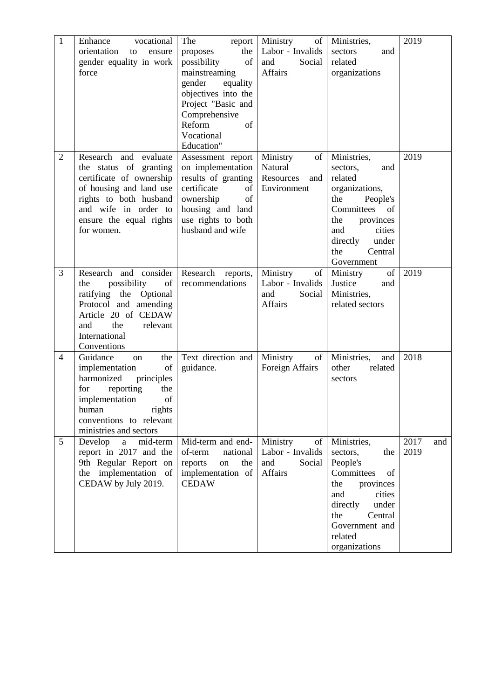| $\mathbf{1}$   | vocational<br>Enhance        | The<br>report        | Ministry<br>of   | Ministries,        | 2019        |
|----------------|------------------------------|----------------------|------------------|--------------------|-------------|
|                | orientation<br>ensure<br>to  | the<br>proposes      | Labor - Invalids | sectors<br>and     |             |
|                | gender equality in work      | of<br>possibility    | and<br>Social    | related            |             |
|                | force                        | mainstreaming        | Affairs          | organizations      |             |
|                |                              | gender<br>equality   |                  |                    |             |
|                |                              | objectives into the  |                  |                    |             |
|                |                              | Project "Basic and   |                  |                    |             |
|                |                              | Comprehensive        |                  |                    |             |
|                |                              | Reform<br>of         |                  |                    |             |
|                |                              | Vocational           |                  |                    |             |
|                |                              | Education"           |                  |                    |             |
| $\overline{2}$ | Research and evaluate        | Assessment report    | Ministry<br>of   | Ministries,        | 2019        |
|                | the status of granting       | on implementation    | Natural          | sectors,<br>and    |             |
|                | certificate of ownership     | results of granting  | Resources<br>and | related            |             |
|                | of housing and land use      | certificate<br>of    | Environment      | organizations,     |             |
|                | rights to both husband       | ownership<br>of      |                  | the<br>People's    |             |
|                | and wife in order to         | housing and land     |                  | Committees<br>of   |             |
|                | ensure the equal rights      | use rights to both   |                  | the<br>provinces   |             |
|                | for women.                   | husband and wife     |                  | cities<br>and      |             |
|                |                              |                      |                  | directly<br>under  |             |
|                |                              |                      |                  | the<br>Central     |             |
|                |                              |                      |                  | Government         |             |
| 3              | Research and consider        | Research reports,    | Ministry<br>of   | Ministry<br>of     | 2019        |
|                | possibility<br>of<br>the     | recommendations      | Labor - Invalids | Justice<br>and     |             |
|                | ratifying the Optional       |                      | Social<br>and    | Ministries,        |             |
|                | Protocol and amending        |                      | Affairs          | related sectors    |             |
|                | Article 20 of CEDAW          |                      |                  |                    |             |
|                | and<br>the<br>relevant       |                      |                  |                    |             |
|                | International<br>Conventions |                      |                  |                    |             |
| $\overline{4}$ | Guidance<br>the<br>on        | Text direction and   | Ministry<br>of   | Ministries,<br>and | 2018        |
|                | implementation<br>of         | guidance.            | Foreign Affairs  | other<br>related   |             |
|                | harmonized<br>principles     |                      |                  | sectors            |             |
|                | reporting<br>for<br>the      |                      |                  |                    |             |
|                | implementation<br>of         |                      |                  |                    |             |
|                | rights<br>human              |                      |                  |                    |             |
|                | conventions to relevant      |                      |                  |                    |             |
|                | ministries and sectors       |                      |                  |                    |             |
| 5              | Develop<br>mid-term<br>a     | Mid-term and end-    | Ministry<br>of   | Ministries,        | 2017<br>and |
|                | report in 2017 and the       | of-term<br>national  | Labor - Invalids | sectors,<br>the    | 2019        |
|                | 9th Regular Report on        | the<br>reports<br>on | and<br>Social    | People's           |             |
|                | the implementation of        | implementation of    | Affairs          | Committees<br>of   |             |
|                | CEDAW by July 2019.          | <b>CEDAW</b>         |                  | provinces<br>the   |             |
|                |                              |                      |                  | cities<br>and      |             |
|                |                              |                      |                  | directly<br>under  |             |
|                |                              |                      |                  | the<br>Central     |             |
|                |                              |                      |                  | Government and     |             |
|                |                              |                      |                  | related            |             |
|                |                              |                      |                  | organizations      |             |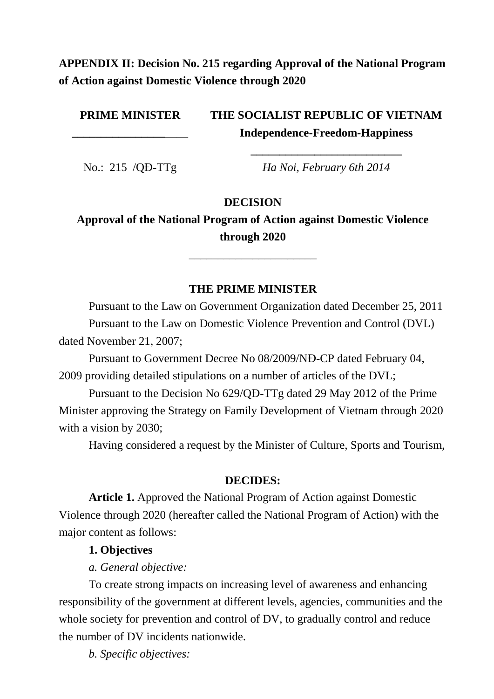# **APPENDIX II: Decision No. 215 regarding Approval of the National Program of Action against Domestic Violence through 2020**

**PRIME MINISTER**

**\_\_\_\_\_\_\_\_\_\_\_\_\_\_\_\_**\_\_\_\_

**THE SOCIALIST REPUBLIC OF VIETNAM Independence-Freedom-Happiness**

No.: 215 /QĐ-TTg *Ha Noi, February 6th 2014* 

**\_\_\_\_\_\_\_\_\_\_\_\_\_\_\_\_\_\_\_\_\_\_\_\_\_\_**

#### **DECISION**

**Approval of the National Program of Action against Domestic Violence through 2020**

\_\_\_\_\_\_\_\_\_\_\_\_\_\_\_\_\_\_\_\_\_\_

#### **THE PRIME MINISTER**

Pursuant to the Law on Government Organization dated December 25, 2011 Pursuant to the Law on Domestic Violence Prevention and Control (DVL) dated November 21, 2007;

Pursuant to Government Decree No 08/2009/NĐ-CP dated February 04, 2009 providing detailed stipulations on a number of articles of the DVL;

Pursuant to the Decision No 629/QĐ-TTg dated 29 May 2012 of the Prime Minister approving the Strategy on Family Development of Vietnam through 2020 with a vision by 2030;

Having considered a request by the Minister of Culture, Sports and Tourism,

#### **DECIDES:**

**Article 1.** Approved the National Program of Action against Domestic Violence through 2020 (hereafter called the National Program of Action) with the major content as follows:

#### **1. Objectives**

*a. General objective:*

To create strong impacts on increasing level of awareness and enhancing responsibility of the government at different levels, agencies, communities and the whole society for prevention and control of DV, to gradually control and reduce the number of DV incidents nationwide.

*b. Specific objectives:*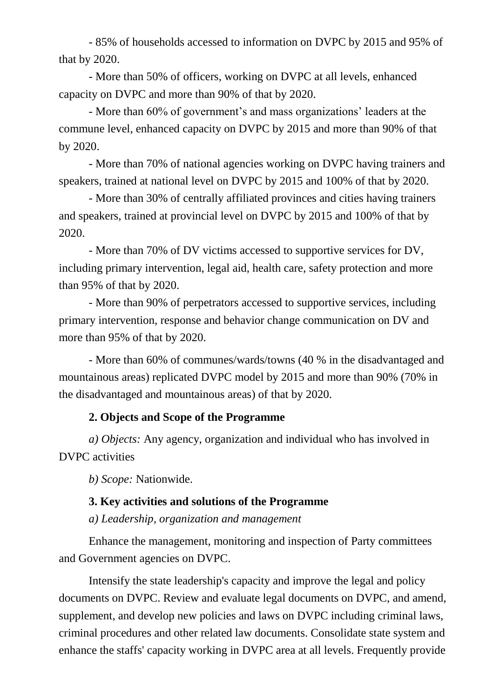- 85% of households accessed to information on DVPC by 2015 and 95% of that by 2020.

- More than 50% of officers, working on DVPC at all levels, enhanced capacity on DVPC and more than 90% of that by 2020.

- More than 60% of government's and mass organizations' leaders at the commune level, enhanced capacity on DVPC by 2015 and more than 90% of that by 2020.

- More than 70% of national agencies working on DVPC having trainers and speakers, trained at national level on DVPC by 2015 and 100% of that by 2020.

- More than 30% of centrally affiliated provinces and cities having trainers and speakers, trained at provincial level on DVPC by 2015 and 100% of that by 2020.

- More than 70% of DV victims accessed to supportive services for DV, including primary intervention, legal aid, health care, safety protection and more than 95% of that by 2020.

- More than 90% of perpetrators accessed to supportive services, including primary intervention, response and behavior change communication on DV and more than 95% of that by 2020.

- More than 60% of communes/wards/towns (40 % in the disadvantaged and mountainous areas) replicated DVPC model by 2015 and more than 90% (70% in the disadvantaged and mountainous areas) of that by 2020.

### **2. Objects and Scope of the Programme**

*a) Objects:* Any agency, organization and individual who has involved in DVPC activities

*b) Scope:* Nationwide.

# **3. Key activities and solutions of the Programme**

*a) Leadership, organization and management*

Enhance the management, monitoring and inspection of Party committees and Government agencies on DVPC.

Intensify the state leadership's capacity and improve the legal and policy documents on DVPC. Review and evaluate legal documents on DVPC, and amend, supplement, and develop new policies and laws on DVPC including criminal laws, criminal procedures and other related law documents. Consolidate state system and enhance the staffs' capacity working in DVPC area at all levels. Frequently provide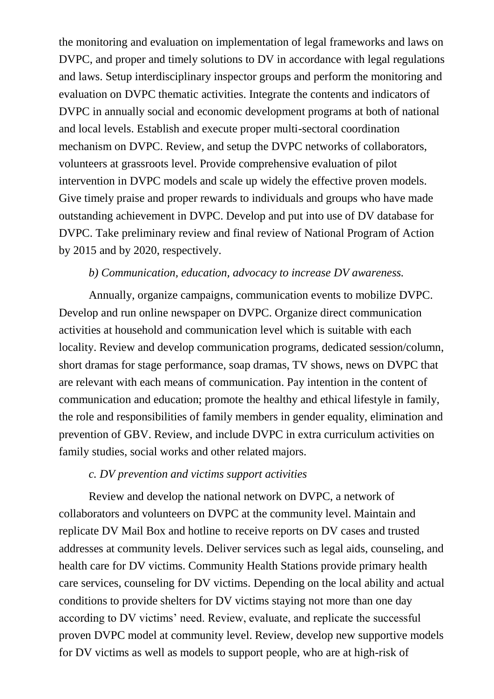the monitoring and evaluation on implementation of legal frameworks and laws on DVPC, and proper and timely solutions to DV in accordance with legal regulations and laws. Setup interdisciplinary inspector groups and perform the monitoring and evaluation on DVPC thematic activities. Integrate the contents and indicators of DVPC in annually social and economic development programs at both of national and local levels. Establish and execute proper multi-sectoral coordination mechanism on DVPC. Review, and setup the DVPC networks of collaborators, volunteers at grassroots level. Provide comprehensive evaluation of pilot intervention in DVPC models and scale up widely the effective proven models. Give timely praise and proper rewards to individuals and groups who have made outstanding achievement in DVPC. Develop and put into use of DV database for DVPC. Take preliminary review and final review of National Program of Action by 2015 and by 2020, respectively.

#### *b) Communication, education, advocacy to increase DV awareness.*

Annually, organize campaigns, communication events to mobilize DVPC. Develop and run online newspaper on DVPC. Organize direct communication activities at household and communication level which is suitable with each locality. Review and develop communication programs, dedicated session/column, short dramas for stage performance, soap dramas, TV shows, news on DVPC that are relevant with each means of communication. Pay intention in the content of communication and education; promote the healthy and ethical lifestyle in family, the role and responsibilities of family members in gender equality, elimination and prevention of GBV. Review, and include DVPC in extra curriculum activities on family studies, social works and other related majors.

#### *c. DV prevention and victims support activities*

Review and develop the national network on DVPC, a network of collaborators and volunteers on DVPC at the community level. Maintain and replicate DV Mail Box and hotline to receive reports on DV cases and trusted addresses at community levels. Deliver services such as legal aids, counseling, and health care for DV victims. Community Health Stations provide primary health care services, counseling for DV victims. Depending on the local ability and actual conditions to provide shelters for DV victims staying not more than one day according to DV victims' need. Review, evaluate, and replicate the successful proven DVPC model at community level. Review, develop new supportive models for DV victims as well as models to support people, who are at high-risk of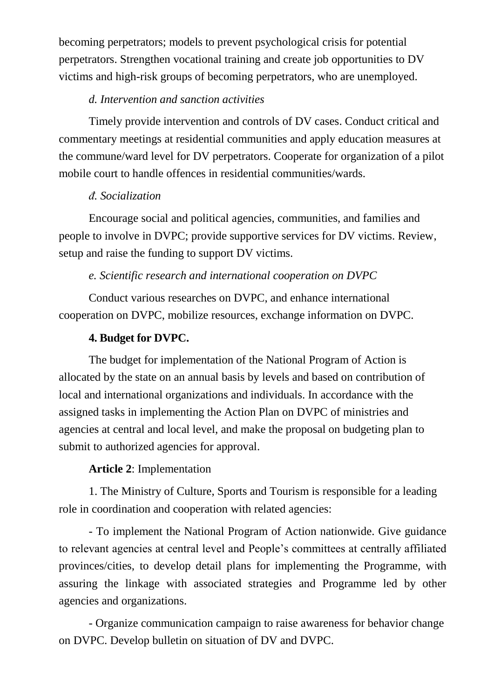becoming perpetrators; models to prevent psychological crisis for potential perpetrators. Strengthen vocational training and create job opportunities to DV victims and high-risk groups of becoming perpetrators, who are unemployed.

## *d. Intervention and sanction activities*

Timely provide intervention and controls of DV cases. Conduct critical and commentary meetings at residential communities and apply education measures at the commune/ward level for DV perpetrators. Cooperate for organization of a pilot mobile court to handle offences in residential communities/wards.

### *đ. Socialization*

Encourage social and political agencies, communities, and families and people to involve in DVPC; provide supportive services for DV victims. Review, setup and raise the funding to support DV victims.

### *e. Scientific research and international cooperation on DVPC*

Conduct various researches on DVPC, and enhance international cooperation on DVPC, mobilize resources, exchange information on DVPC.

### **4. Budget for DVPC.**

The budget for implementation of the National Program of Action is allocated by the state on an annual basis by levels and based on contribution of local and international organizations and individuals. In accordance with the assigned tasks in implementing the Action Plan on DVPC of ministries and agencies at central and local level, and make the proposal on budgeting plan to submit to authorized agencies for approval.

### **Article 2**: Implementation

1. The Ministry of Culture, Sports and Tourism is responsible for a leading role in coordination and cooperation with related agencies:

- To implement the National Program of Action nationwide. Give guidance to relevant agencies at central level and People's committees at centrally affiliated provinces/cities, to develop detail plans for implementing the Programme, with assuring the linkage with associated strategies and Programme led by other agencies and organizations.

- Organize communication campaign to raise awareness for behavior change on DVPC. Develop bulletin on situation of DV and DVPC.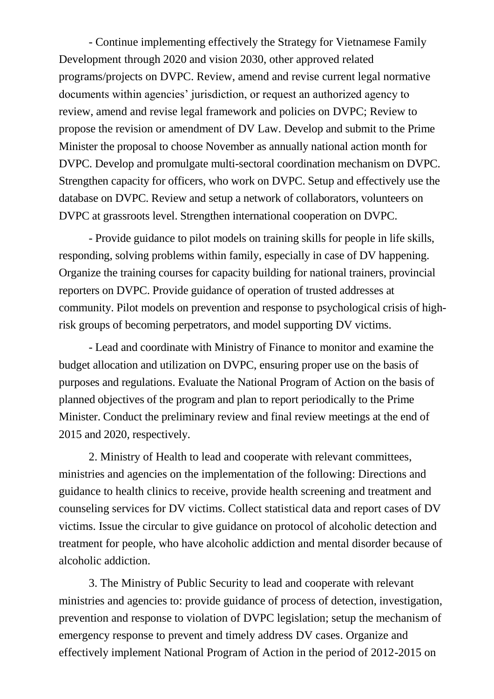- Continue implementing effectively the Strategy for Vietnamese Family Development through 2020 and vision 2030, other approved related programs/projects on DVPC. Review, amend and revise current legal normative documents within agencies' jurisdiction, or request an authorized agency to review, amend and revise legal framework and policies on DVPC; Review to propose the revision or amendment of DV Law. Develop and submit to the Prime Minister the proposal to choose November as annually national action month for DVPC. Develop and promulgate multi-sectoral coordination mechanism on DVPC. Strengthen capacity for officers, who work on DVPC. Setup and effectively use the database on DVPC. Review and setup a network of collaborators, volunteers on DVPC at grassroots level. Strengthen international cooperation on DVPC.

- Provide guidance to pilot models on training skills for people in life skills, responding, solving problems within family, especially in case of DV happening. Organize the training courses for capacity building for national trainers, provincial reporters on DVPC. Provide guidance of operation of trusted addresses at community. Pilot models on prevention and response to psychological crisis of highrisk groups of becoming perpetrators, and model supporting DV victims.

- Lead and coordinate with Ministry of Finance to monitor and examine the budget allocation and utilization on DVPC, ensuring proper use on the basis of purposes and regulations. Evaluate the National Program of Action on the basis of planned objectives of the program and plan to report periodically to the Prime Minister. Conduct the preliminary review and final review meetings at the end of 2015 and 2020, respectively.

2. Ministry of Health to lead and cooperate with relevant committees, ministries and agencies on the implementation of the following: Directions and guidance to health clinics to receive, provide health screening and treatment and counseling services for DV victims. Collect statistical data and report cases of DV victims. Issue the circular to give guidance on protocol of alcoholic detection and treatment for people, who have alcoholic addiction and mental disorder because of alcoholic addiction.

3. The Ministry of Public Security to lead and cooperate with relevant ministries and agencies to: provide guidance of process of detection, investigation, prevention and response to violation of DVPC legislation; setup the mechanism of emergency response to prevent and timely address DV cases. Organize and effectively implement National Program of Action in the period of 2012-2015 on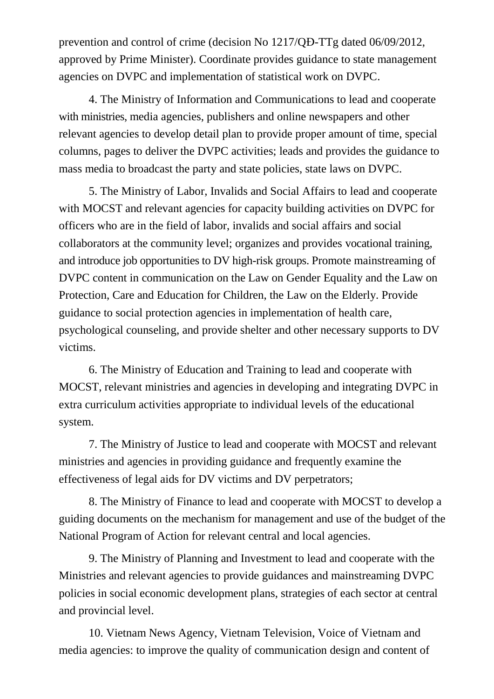prevention and control of crime (decision No 1217/QĐ-TTg dated 06/09/2012, approved by Prime Minister). Coordinate provides guidance to state management agencies on DVPC and implementation of statistical work on DVPC.

4. The Ministry of Information and Communications to lead and cooperate with ministries, media agencies, publishers and online newspapers and other relevant agencies to develop detail plan to provide proper amount of time, special columns, pages to deliver the DVPC activities; leads and provides the guidance to mass media to broadcast the party and state policies, state laws on DVPC.

5. The Ministry of Labor, Invalids and Social Affairs to lead and cooperate with MOCST and relevant agencies for capacity building activities on DVPC for officers who are in the field of labor, invalids and social affairs and social collaborators at the community level; organizes and provides vocational training, and introduce job opportunities to DV high-risk groups. Promote mainstreaming of DVPC content in communication on the Law on Gender Equality and the Law on Protection, Care and Education for Children, the Law on the Elderly. Provide guidance to social protection agencies in implementation of health care, psychological counseling, and provide shelter and other necessary supports to DV victims.

6. The Ministry of Education and Training to lead and cooperate with MOCST, relevant ministries and agencies in developing and integrating DVPC in extra curriculum activities appropriate to individual levels of the educational system.

7. The Ministry of Justice to lead and cooperate with MOCST and relevant ministries and agencies in providing guidance and frequently examine the effectiveness of legal aids for DV victims and DV perpetrators;

8. The Ministry of Finance to lead and cooperate with MOCST to develop a guiding documents on the mechanism for management and use of the budget of the National Program of Action for relevant central and local agencies.

9. The Ministry of Planning and Investment to lead and cooperate with the Ministries and relevant agencies to provide guidances and mainstreaming DVPC policies in social economic development plans, strategies of each sector at central and provincial level.

10. Vietnam News Agency, Vietnam Television, Voice of Vietnam and media agencies: to improve the quality of communication design and content of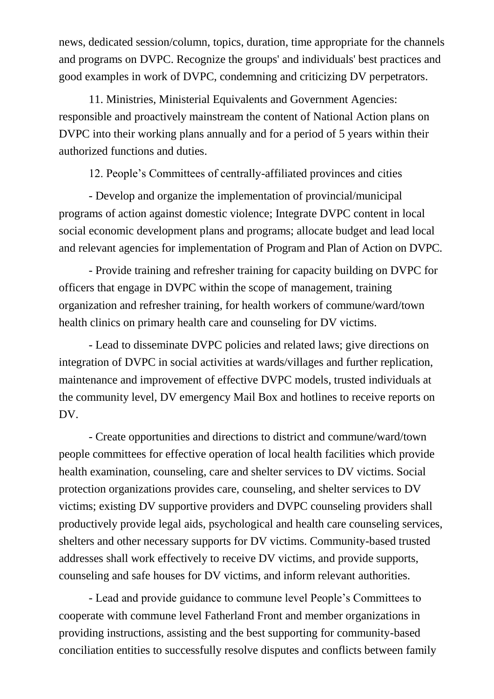news, dedicated session/column, topics, duration, time appropriate for the channels and programs on DVPC. Recognize the groups' and individuals' best practices and good examples in work of DVPC, condemning and criticizing DV perpetrators.

11. Ministries, Ministerial Equivalents and Government Agencies: responsible and proactively mainstream the content of National Action plans on DVPC into their working plans annually and for a period of 5 years within their authorized functions and duties.

12. People's Committees of centrally-affiliated provinces and cities

- Develop and organize the implementation of provincial/municipal programs of action against domestic violence; Integrate DVPC content in local social economic development plans and programs; allocate budget and lead local and relevant agencies for implementation of Program and Plan of Action on DVPC.

- Provide training and refresher training for capacity building on DVPC for officers that engage in DVPC within the scope of management, training organization and refresher training, for health workers of commune/ward/town health clinics on primary health care and counseling for DV victims.

- Lead to disseminate DVPC policies and related laws; give directions on integration of DVPC in social activities at wards/villages and further replication, maintenance and improvement of effective DVPC models, trusted individuals at the community level, DV emergency Mail Box and hotlines to receive reports on DV.

- Create opportunities and directions to district and commune/ward/town people committees for effective operation of local health facilities which provide health examination, counseling, care and shelter services to DV victims. Social protection organizations provides care, counseling, and shelter services to DV victims; existing DV supportive providers and DVPC counseling providers shall productively provide legal aids, psychological and health care counseling services, shelters and other necessary supports for DV victims. Community-based trusted addresses shall work effectively to receive DV victims, and provide supports, counseling and safe houses for DV victims, and inform relevant authorities.

- Lead and provide guidance to commune level People's Committees to cooperate with commune level Fatherland Front and member organizations in providing instructions, assisting and the best supporting for community-based conciliation entities to successfully resolve disputes and conflicts between family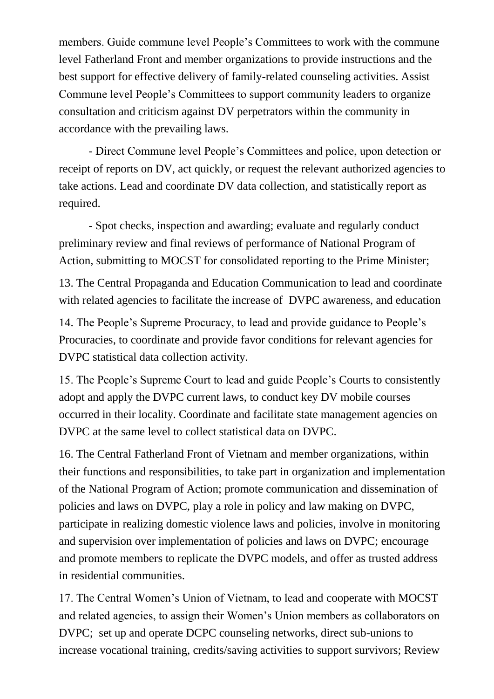members. Guide commune level People's Committees to work with the commune level Fatherland Front and member organizations to provide instructions and the best support for effective delivery of family-related counseling activities. Assist Commune level People's Committees to support community leaders to organize consultation and criticism against DV perpetrators within the community in accordance with the prevailing laws.

- Direct Commune level People's Committees and police, upon detection or receipt of reports on DV, act quickly, or request the relevant authorized agencies to take actions. Lead and coordinate DV data collection, and statistically report as required.

- Spot checks, inspection and awarding; evaluate and regularly conduct preliminary review and final reviews of performance of National Program of Action, submitting to MOCST for consolidated reporting to the Prime Minister;

13. The Central Propaganda and Education Communication to lead and coordinate with related agencies to facilitate the increase of DVPC awareness, and education

14. The People's Supreme Procuracy, to lead and provide guidance to People's Procuracies, to coordinate and provide favor conditions for relevant agencies for DVPC statistical data collection activity.

15. The People's Supreme Court to lead and guide People's Courts to consistently adopt and apply the DVPC current laws, to conduct key DV mobile courses occurred in their locality. Coordinate and facilitate state management agencies on DVPC at the same level to collect statistical data on DVPC.

16. The Central Fatherland Front of Vietnam and member organizations, within their functions and responsibilities, to take part in organization and implementation of the National Program of Action; promote communication and dissemination of policies and laws on DVPC, play a role in policy and law making on DVPC, participate in realizing domestic violence laws and policies, involve in monitoring and supervision over implementation of policies and laws on DVPC; encourage and promote members to replicate the DVPC models, and offer as trusted address in residential communities.

17. The Central Women's Union of Vietnam, to lead and cooperate with MOCST and related agencies, to assign their Women's Union members as collaborators on DVPC; set up and operate DCPC counseling networks, direct sub-unions to increase vocational training, credits/saving activities to support survivors; Review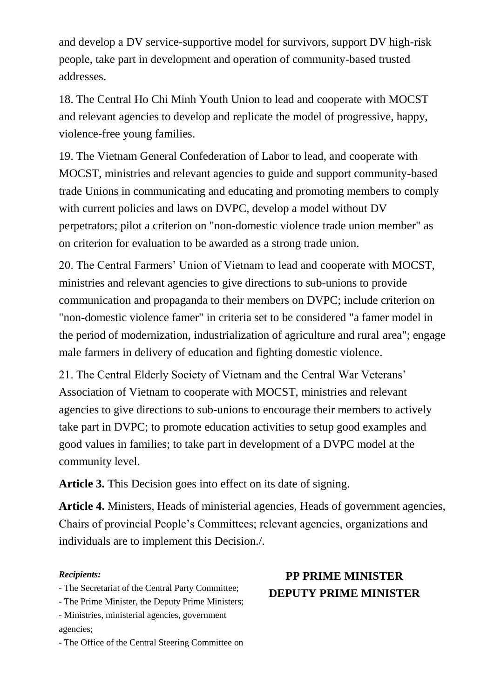and develop a DV service-supportive model for survivors, support DV high-risk people, take part in development and operation of community-based trusted addresses.

18. The Central Ho Chi Minh Youth Union to lead and cooperate with MOCST and relevant agencies to develop and replicate the model of progressive, happy, violence-free young families.

19. The Vietnam General Confederation of Labor to lead, and cooperate with MOCST, ministries and relevant agencies to guide and support community-based trade Unions in communicating and educating and promoting members to comply with current policies and laws on DVPC, develop a model without DV perpetrators; pilot a criterion on "non-domestic violence trade union member" as on criterion for evaluation to be awarded as a strong trade union.

20. The Central Farmers' Union of Vietnam to lead and cooperate with MOCST, ministries and relevant agencies to give directions to sub-unions to provide communication and propaganda to their members on DVPC; include criterion on "non-domestic violence famer" in criteria set to be considered "a famer model in the period of modernization, industrialization of agriculture and rural area"; engage male farmers in delivery of education and fighting domestic violence.

21. The Central Elderly Society of Vietnam and the Central War Veterans' Association of Vietnam to cooperate with MOCST, ministries and relevant agencies to give directions to sub-unions to encourage their members to actively take part in DVPC; to promote education activities to setup good examples and good values in families; to take part in development of a DVPC model at the community level.

**Article 3.** This Decision goes into effect on its date of signing.

**Article 4.** Ministers, Heads of ministerial agencies, Heads of government agencies, Chairs of provincial People's Committees; relevant agencies, organizations and individuals are to implement this Decision./.

#### *Recipients:*

- The Secretariat of the Central Party Committee;

- The Prime Minister, the Deputy Prime Ministers;

- Ministries, ministerial agencies, government agencies;

- The Office of the Central Steering Committee on

# **PP PRIME MINISTER DEPUTY PRIME MINISTER**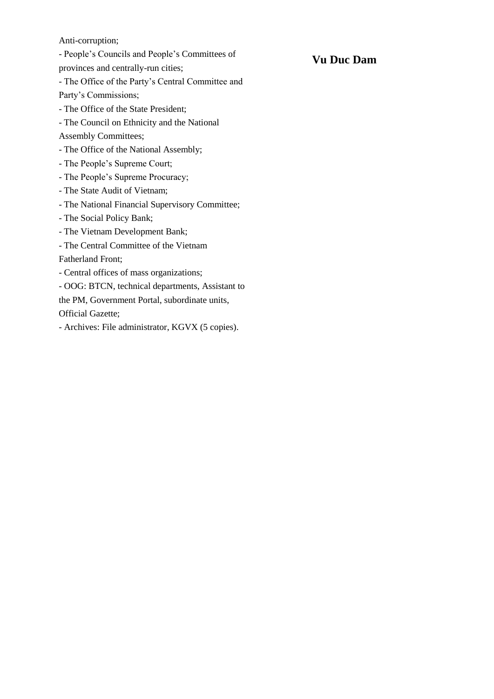Anti-corruption;

- People's Councils and People's Committees of

provinces and centrally-run cities;

- The Office of the Party's Central Committee and Party's Commissions;

- The Office of the State President;

- The Council on Ethnicity and the National

Assembly Committees;

- The Office of the National Assembly;
- The People's Supreme Court;
- The People's Supreme Procuracy;
- The State Audit of Vietnam;
- The National Financial Supervisory Committee;
- The Social Policy Bank;
- The Vietnam Development Bank;
- The Central Committee of the Vietnam

Fatherland Front;

- Central offices of mass organizations;
- OOG: BTCN, technical departments, Assistant to

the PM, Government Portal, subordinate units,

Official Gazette;

- Archives: File administrator, KGVX (5 copies).

#### **Vu Duc Dam**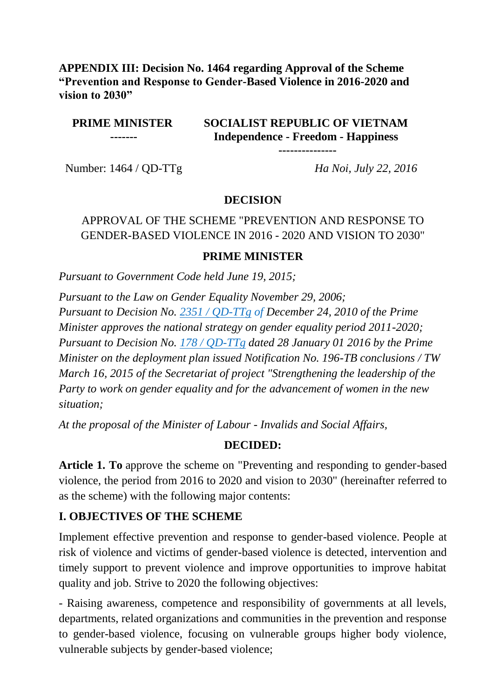#### **APPENDIX III: Decision No. 1464 regarding Approval of the Scheme "Prevention and Response to Gender-Based Violence in 2016-2020 and vision to 2030"**

#### **PRIME MINISTER -------**

## **SOCIALIST REPUBLIC OF VIETNAM Independence - Freedom - Happiness**

**---------------**

Number: 1464 / QD-TTg *Ha Noi, July 22, 2016*

### **DECISION**

## APPROVAL OF THE SCHEME "PREVENTION AND RESPONSE TO GENDER-BASED VIOLENCE IN 2016 - 2020 AND VISION TO 2030"

#### **PRIME MINISTER**

*Pursuant to Government Code held June 19, 2015;*

*Pursuant to the Law on Gender Equality November 29, 2006; Pursuant to Decision No. [2351 / QD-TTg](http://thuvienphapluat.vn/phap-luat/tim-van-ban.aspx?keyword=2351/Q%C4%90-TTg&area=2&type=0&match=False&vc=True&lan=1) of December 24, 2010 of the Prime Minister approves the national strategy on gender equality period 2011-2020; Pursuant to Decision No. [178 / QD-TTg](http://thuvienphapluat.vn/phap-luat/tim-van-ban.aspx?keyword=178/Q%C4%90-TTg&area=2&type=0&match=False&vc=True&lan=1) dated 28 January 01 2016 by the Prime Minister on the deployment plan issued Notification No. 196-TB conclusions / TW March 16, 2015 of the Secretariat of project "Strengthening the leadership of the Party to work on gender equality and for the advancement of women in the new situation;*

*At the proposal of the Minister of Labour - Invalids and Social Affairs,*

#### **DECIDED:**

**Article 1. To** approve the scheme on "Preventing and responding to gender-based violence, the period from 2016 to 2020 and vision to 2030" (hereinafter referred to as the scheme) with the following major contents:

### **I. OBJECTIVES OF THE SCHEME**

Implement effective prevention and response to gender-based violence. People at risk of violence and victims of gender-based violence is detected, intervention and timely support to prevent violence and improve opportunities to improve habitat quality and job. Strive to 2020 the following objectives:

- Raising awareness, competence and responsibility of governments at all levels, departments, related organizations and communities in the prevention and response to gender-based violence, focusing on vulnerable groups higher body violence, vulnerable subjects by gender-based violence;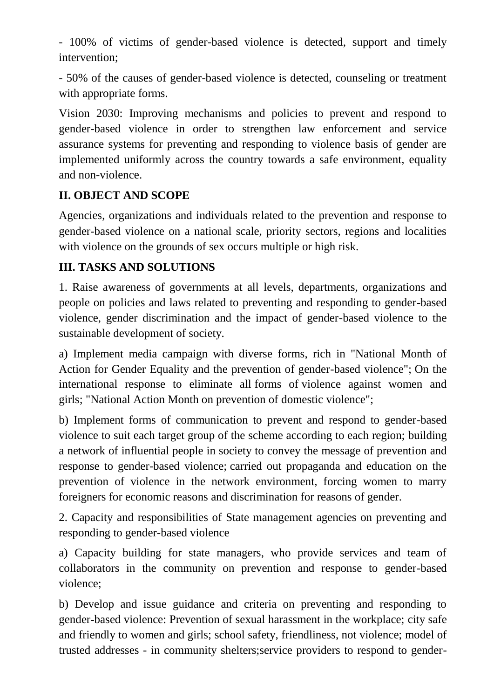- 100% of victims of gender-based violence is detected, support and timely intervention;

- 50% of the causes of gender-based violence is detected, counseling or treatment with appropriate forms.

Vision 2030: Improving mechanisms and policies to prevent and respond to gender-based violence in order to strengthen law enforcement and service assurance systems for preventing and responding to violence basis of gender are implemented uniformly across the country towards a safe environment, equality and non-violence.

# **II. OBJECT AND SCOPE**

Agencies, organizations and individuals related to the prevention and response to gender-based violence on a national scale, priority sectors, regions and localities with violence on the grounds of sex occurs multiple or high risk.

## **III. TASKS AND SOLUTIONS**

1. Raise awareness of governments at all levels, departments, organizations and people on policies and laws related to preventing and responding to gender-based violence, gender discrimination and the impact of gender-based violence to the sustainable development of society.

a) Implement media campaign with diverse forms, rich in "National Month of Action for Gender Equality and the prevention of gender-based violence"; On the international response to eliminate all forms of violence against women and girls; "National Action Month on prevention of domestic violence";

b) Implement forms of communication to prevent and respond to gender-based violence to suit each target group of the scheme according to each region; building a network of influential people in society to convey the message of prevention and response to gender-based violence; carried out propaganda and education on the prevention of violence in the network environment, forcing women to marry foreigners for economic reasons and discrimination for reasons of gender.

2. Capacity and responsibilities of State management agencies on preventing and responding to gender-based violence

a) Capacity building for state managers, who provide services and team of collaborators in the community on prevention and response to gender-based violence;

b) Develop and issue guidance and criteria on preventing and responding to gender-based violence: Prevention of sexual harassment in the workplace; city safe and friendly to women and girls; school safety, friendliness, not violence; model of trusted addresses - in community shelters;service providers to respond to gender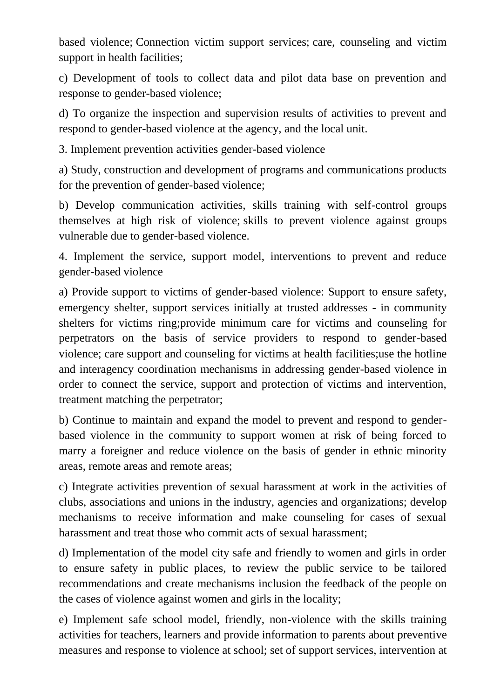based violence; Connection victim support services; care, counseling and victim support in health facilities;

c) Development of tools to collect data and pilot data base on prevention and response to gender-based violence;

d) To organize the inspection and supervision results of activities to prevent and respond to gender-based violence at the agency, and the local unit.

3. Implement prevention activities gender-based violence

a) Study, construction and development of programs and communications products for the prevention of gender-based violence;

b) Develop communication activities, skills training with self-control groups themselves at high risk of violence; skills to prevent violence against groups vulnerable due to gender-based violence.

4. Implement the service, support model, interventions to prevent and reduce gender-based violence

a) Provide support to victims of gender-based violence: Support to ensure safety, emergency shelter, support services initially at trusted addresses - in community shelters for victims ring;provide minimum care for victims and counseling for perpetrators on the basis of service providers to respond to gender-based violence; care support and counseling for victims at health facilities;use the hotline and interagency coordination mechanisms in addressing gender-based violence in order to connect the service, support and protection of victims and intervention, treatment matching the perpetrator;

b) Continue to maintain and expand the model to prevent and respond to genderbased violence in the community to support women at risk of being forced to marry a foreigner and reduce violence on the basis of gender in ethnic minority areas, remote areas and remote areas;

c) Integrate activities prevention of sexual harassment at work in the activities of clubs, associations and unions in the industry, agencies and organizations; develop mechanisms to receive information and make counseling for cases of sexual harassment and treat those who commit acts of sexual harassment;

d) Implementation of the model city safe and friendly to women and girls in order to ensure safety in public places, to review the public service to be tailored recommendations and create mechanisms inclusion the feedback of the people on the cases of violence against women and girls in the locality;

e) Implement safe school model, friendly, non-violence with the skills training activities for teachers, learners and provide information to parents about preventive measures and response to violence at school; set of support services, intervention at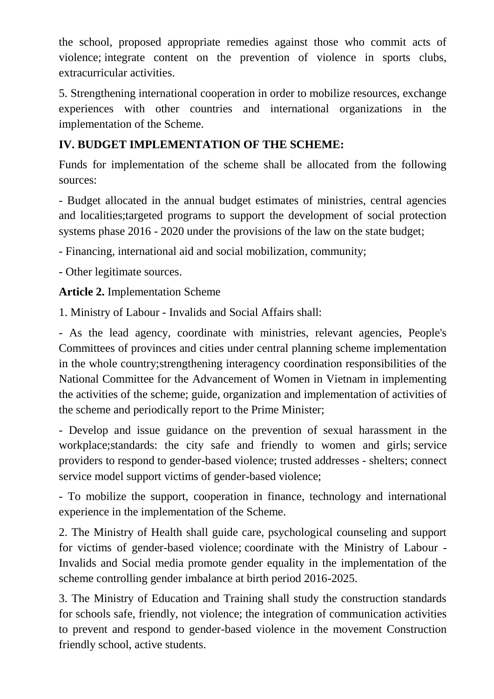the school, proposed appropriate remedies against those who commit acts of violence; integrate content on the prevention of violence in sports clubs, extracurricular activities.

5. Strengthening international cooperation in order to mobilize resources, exchange experiences with other countries and international organizations in the implementation of the Scheme.

# **IV. BUDGET IMPLEMENTATION OF THE SCHEME:**

Funds for implementation of the scheme shall be allocated from the following sources:

- Budget allocated in the annual budget estimates of ministries, central agencies and localities;targeted programs to support the development of social protection systems phase 2016 - 2020 under the provisions of the law on the state budget;

- Financing, international aid and social mobilization, community;

- Other legitimate sources.

**Article 2.** Implementation Scheme

1. Ministry of Labour - Invalids and Social Affairs shall:

- As the lead agency, coordinate with ministries, relevant agencies, People's Committees of provinces and cities under central planning scheme implementation in the whole country;strengthening interagency coordination responsibilities of the National Committee for the Advancement of Women in Vietnam in implementing the activities of the scheme; guide, organization and implementation of activities of the scheme and periodically report to the Prime Minister;

- Develop and issue guidance on the prevention of sexual harassment in the workplace;standards: the city safe and friendly to women and girls; service providers to respond to gender-based violence; trusted addresses - shelters; connect service model support victims of gender-based violence;

- To mobilize the support, cooperation in finance, technology and international experience in the implementation of the Scheme.

2. The Ministry of Health shall guide care, psychological counseling and support for victims of gender-based violence; coordinate with the Ministry of Labour - Invalids and Social media promote gender equality in the implementation of the scheme controlling gender imbalance at birth period 2016-2025.

3. The Ministry of Education and Training shall study the construction standards for schools safe, friendly, not violence; the integration of communication activities to prevent and respond to gender-based violence in the movement Construction friendly school, active students.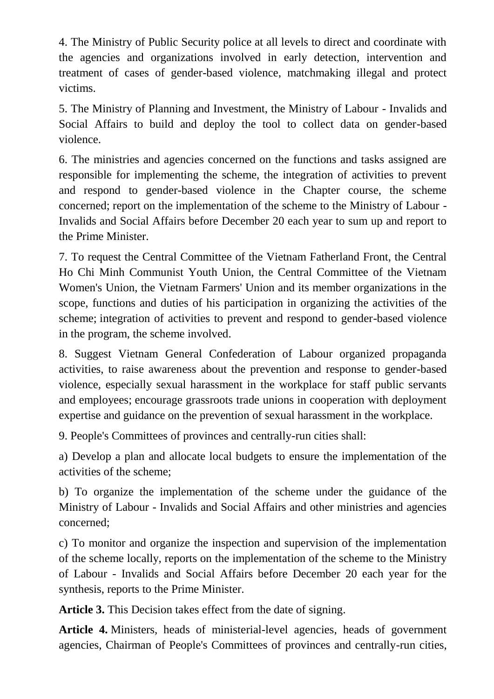4. The Ministry of Public Security police at all levels to direct and coordinate with the agencies and organizations involved in early detection, intervention and treatment of cases of gender-based violence, matchmaking illegal and protect victims.

5. The Ministry of Planning and Investment, the Ministry of Labour - Invalids and Social Affairs to build and deploy the tool to collect data on gender-based violence.

6. The ministries and agencies concerned on the functions and tasks assigned are responsible for implementing the scheme, the integration of activities to prevent and respond to gender-based violence in the Chapter course, the scheme concerned; report on the implementation of the scheme to the Ministry of Labour - Invalids and Social Affairs before December 20 each year to sum up and report to the Prime Minister.

7. To request the Central Committee of the Vietnam Fatherland Front, the Central Ho Chi Minh Communist Youth Union, the Central Committee of the Vietnam Women's Union, the Vietnam Farmers' Union and its member organizations in the scope, functions and duties of his participation in organizing the activities of the scheme; integration of activities to prevent and respond to gender-based violence in the program, the scheme involved.

8. Suggest Vietnam General Confederation of Labour organized propaganda activities, to raise awareness about the prevention and response to gender-based violence, especially sexual harassment in the workplace for staff public servants and employees; encourage grassroots trade unions in cooperation with deployment expertise and guidance on the prevention of sexual harassment in the workplace.

9. People's Committees of provinces and centrally-run cities shall:

a) Develop a plan and allocate local budgets to ensure the implementation of the activities of the scheme;

b) To organize the implementation of the scheme under the guidance of the Ministry of Labour - Invalids and Social Affairs and other ministries and agencies concerned;

c) To monitor and organize the inspection and supervision of the implementation of the scheme locally, reports on the implementation of the scheme to the Ministry of Labour - Invalids and Social Affairs before December 20 each year for the synthesis, reports to the Prime Minister.

**Article 3.** This Decision takes effect from the date of signing.

**Article 4.** Ministers, heads of ministerial-level agencies, heads of government agencies, Chairman of People's Committees of provinces and centrally-run cities,